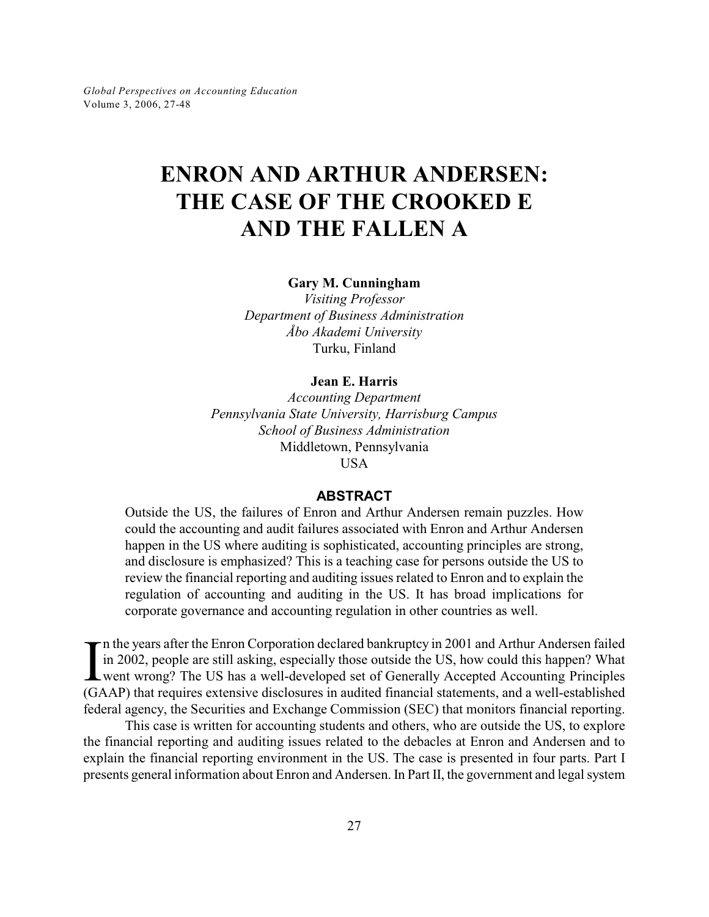# **ENRON AND ARTHUR ANDERSEN: THE CASE OF THE CROOKED E AND THE FALLEN A**

#### **Gary M. Cunningham**

*Visiting Professor Department of Business Administration Åbo Akademi University* Turku, Finland

#### **Jean E. Harris**

*Accounting Department Pennsylvania State University, Harrisburg Campus School of Business Administration* Middletown, Pennsylvania USA

#### **ABSTRACT**

Outside the US, the failures of Enron and Arthur Andersen remain puzzles. How could the accounting and audit failures associated with Enron and Arthur Andersen happen in the US where auditing is sophisticated, accounting principles are strong, and disclosure is emphasized? This is a teaching case for persons outside the US to review the financial reporting and auditing issues related to Enron and to explain the regulation of accounting and auditing in the US. It has broad implications for corporate governance and accounting regulation in other countries as well.

 $\prod_{\text{G}}$  $\tau$ n the years after the Enron Corporation declared bankruptcy in 2001 and Arthur Andersen failed in 2002, people are still asking, especially those outside the US, how could this happen? What went wrong? The US has a well-developed set of Generally Accepted Accounting Principles (GAAP) that requires extensive disclosures in audited financial statements, and a well-established federal agency, the Securities and Exchange Commission (SEC) that monitors financial reporting.

This case is written for accounting students and others, who are outside the US, to explore the financial reporting and auditing issues related to the debacles at Enron and Andersen and to explain the financial reporting environment in the US. The case is presented in four parts. Part I presents general information about Enron and Andersen. In Part II, the government and legal system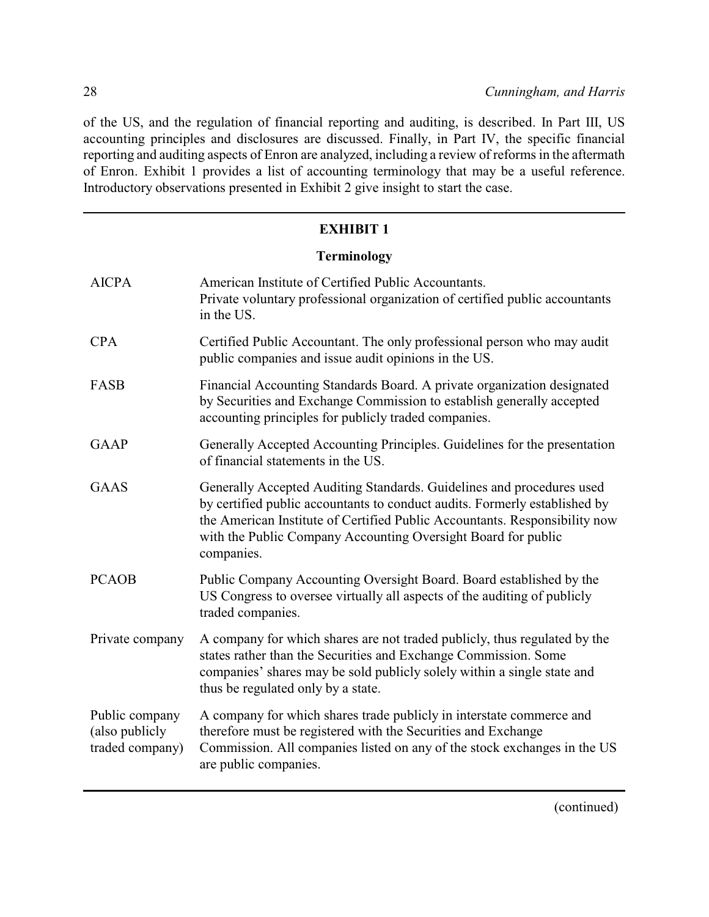of the US, and the regulation of financial reporting and auditing, is described. In Part III, US accounting principles and disclosures are discussed. Finally, in Part IV, the specific financial reporting and auditing aspects of Enron are analyzed, including a review of reforms in the aftermath of Enron. Exhibit 1 provides a list of accounting terminology that may be a useful reference. Introductory observations presented in Exhibit 2 give insight to start the case.

# **EXHIBIT 1**

# **Terminology**

| <b>AICPA</b>                                        | American Institute of Certified Public Accountants.<br>Private voluntary professional organization of certified public accountants<br>in the US.                                                                                                                                                                 |  |
|-----------------------------------------------------|------------------------------------------------------------------------------------------------------------------------------------------------------------------------------------------------------------------------------------------------------------------------------------------------------------------|--|
| <b>CPA</b>                                          | Certified Public Accountant. The only professional person who may audit<br>public companies and issue audit opinions in the US.                                                                                                                                                                                  |  |
| FASB                                                | Financial Accounting Standards Board. A private organization designated<br>by Securities and Exchange Commission to establish generally accepted<br>accounting principles for publicly traded companies.                                                                                                         |  |
| <b>GAAP</b>                                         | Generally Accepted Accounting Principles. Guidelines for the presentation<br>of financial statements in the US.                                                                                                                                                                                                  |  |
| <b>GAAS</b>                                         | Generally Accepted Auditing Standards. Guidelines and procedures used<br>by certified public accountants to conduct audits. Formerly established by<br>the American Institute of Certified Public Accountants. Responsibility now<br>with the Public Company Accounting Oversight Board for public<br>companies. |  |
| <b>PCAOB</b>                                        | Public Company Accounting Oversight Board. Board established by the<br>US Congress to oversee virtually all aspects of the auditing of publicly<br>traded companies.                                                                                                                                             |  |
| Private company                                     | A company for which shares are not traded publicly, thus regulated by the<br>states rather than the Securities and Exchange Commission. Some<br>companies' shares may be sold publicly solely within a single state and<br>thus be regulated only by a state.                                                    |  |
| Public company<br>(also publicly<br>traded company) | A company for which shares trade publicly in interstate commerce and<br>therefore must be registered with the Securities and Exchange<br>Commission. All companies listed on any of the stock exchanges in the US<br>are public companies.                                                                       |  |

(continued)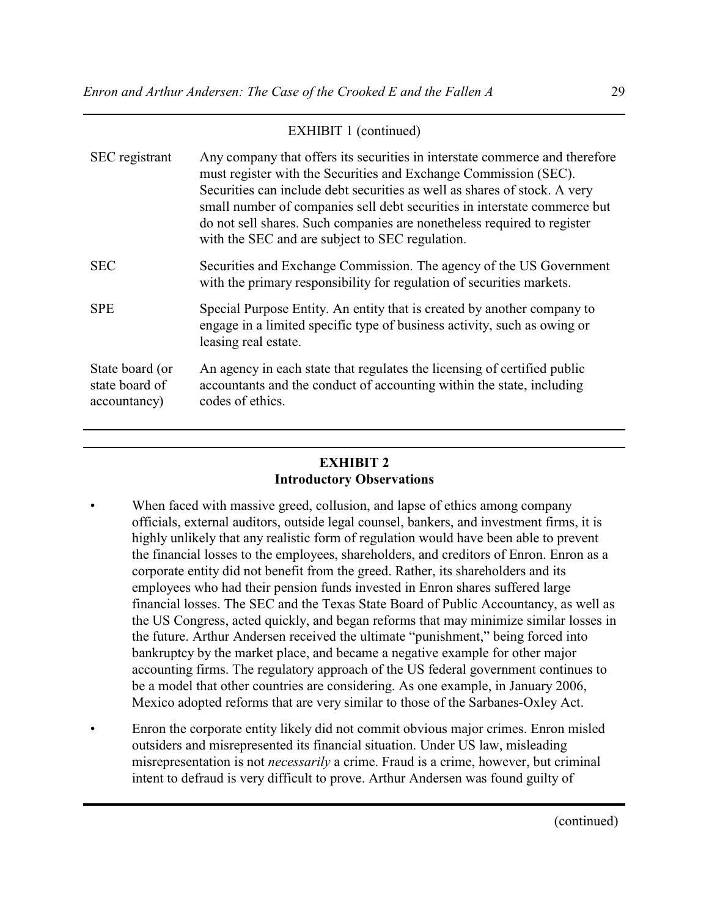| <b>EXHIBIT 1 (continued)</b>                      |                                                                                                                                                                                                                                                                                                                                                                                                                                         |  |  |  |
|---------------------------------------------------|-----------------------------------------------------------------------------------------------------------------------------------------------------------------------------------------------------------------------------------------------------------------------------------------------------------------------------------------------------------------------------------------------------------------------------------------|--|--|--|
| SEC registrant                                    | Any company that offers its securities in interstate commerce and therefore<br>must register with the Securities and Exchange Commission (SEC).<br>Securities can include debt securities as well as shares of stock. A very<br>small number of companies sell debt securities in interstate commerce but<br>do not sell shares. Such companies are nonetheless required to register<br>with the SEC and are subject to SEC regulation. |  |  |  |
| <b>SEC</b>                                        | Securities and Exchange Commission. The agency of the US Government<br>with the primary responsibility for regulation of securities markets.                                                                                                                                                                                                                                                                                            |  |  |  |
| <b>SPE</b>                                        | Special Purpose Entity. An entity that is created by another company to<br>engage in a limited specific type of business activity, such as owing or<br>leasing real estate.                                                                                                                                                                                                                                                             |  |  |  |
| State board (or<br>state board of<br>accountancy) | An agency in each state that regulates the licensing of certified public<br>accountants and the conduct of accounting within the state, including<br>codes of ethics.                                                                                                                                                                                                                                                                   |  |  |  |

# **EXHIBIT 2 Introductory Observations**

- When faced with massive greed, collusion, and lapse of ethics among company officials, external auditors, outside legal counsel, bankers, and investment firms, it is highly unlikely that any realistic form of regulation would have been able to prevent the financial losses to the employees, shareholders, and creditors of Enron. Enron as a corporate entity did not benefit from the greed. Rather, its shareholders and its employees who had their pension funds invested in Enron shares suffered large financial losses. The SEC and the Texas State Board of Public Accountancy, as well as the US Congress, acted quickly, and began reforms that may minimize similar losses in the future. Arthur Andersen received the ultimate "punishment," being forced into bankruptcy by the market place, and became a negative example for other major accounting firms. The regulatory approach of the US federal government continues to be a model that other countries are considering. As one example, in January 2006, Mexico adopted reforms that are very similar to those of the Sarbanes-Oxley Act.
- Enron the corporate entity likely did not commit obvious major crimes. Enron misled outsiders and misrepresented its financial situation. Under US law, misleading misrepresentation is not *necessarily* a crime. Fraud is a crime, however, but criminal intent to defraud is very difficult to prove. Arthur Andersen was found guilty of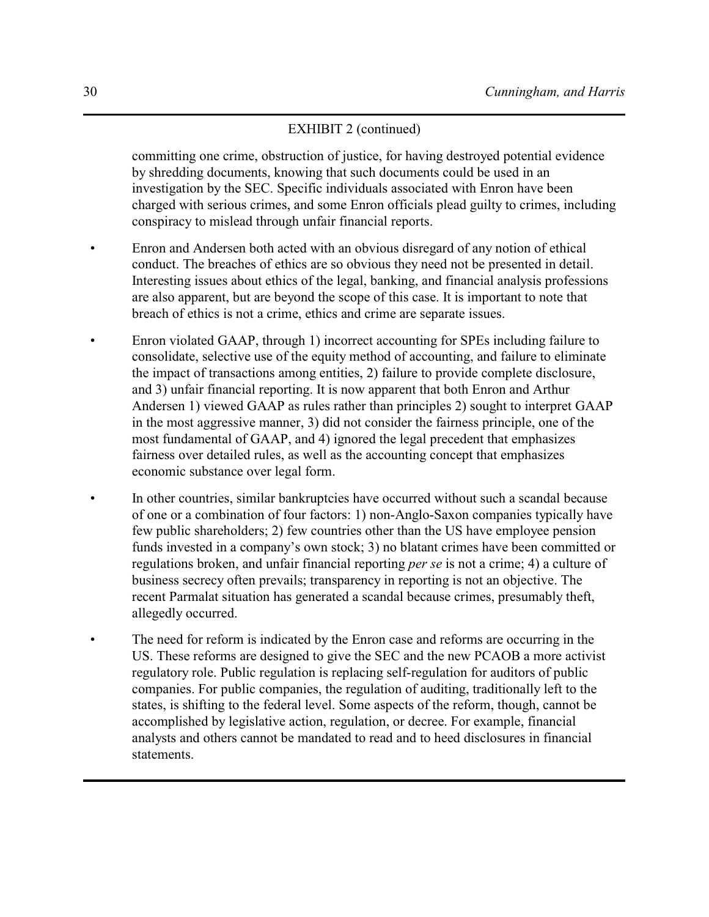# EXHIBIT 2 (continued)

committing one crime, obstruction of justice, for having destroyed potential evidence by shredding documents, knowing that such documents could be used in an investigation by the SEC. Specific individuals associated with Enron have been charged with serious crimes, and some Enron officials plead guilty to crimes, including conspiracy to mislead through unfair financial reports.

- Enron and Andersen both acted with an obvious disregard of any notion of ethical conduct. The breaches of ethics are so obvious they need not be presented in detail. Interesting issues about ethics of the legal, banking, and financial analysis professions are also apparent, but are beyond the scope of this case. It is important to note that breach of ethics is not a crime, ethics and crime are separate issues.
- Enron violated GAAP, through 1) incorrect accounting for SPEs including failure to consolidate, selective use of the equity method of accounting, and failure to eliminate the impact of transactions among entities, 2) failure to provide complete disclosure, and 3) unfair financial reporting. It is now apparent that both Enron and Arthur Andersen 1) viewed GAAP as rules rather than principles 2) sought to interpret GAAP in the most aggressive manner, 3) did not consider the fairness principle, one of the most fundamental of GAAP, and 4) ignored the legal precedent that emphasizes fairness over detailed rules, as well as the accounting concept that emphasizes economic substance over legal form.
- In other countries, similar bankruptcies have occurred without such a scandal because of one or a combination of four factors: 1) non-Anglo-Saxon companies typically have few public shareholders; 2) few countries other than the US have employee pension funds invested in a company's own stock; 3) no blatant crimes have been committed or regulations broken, and unfair financial reporting *per se* is not a crime; 4) a culture of business secrecy often prevails; transparency in reporting is not an objective. The recent Parmalat situation has generated a scandal because crimes, presumably theft, allegedly occurred.
- The need for reform is indicated by the Enron case and reforms are occurring in the US. These reforms are designed to give the SEC and the new PCAOB a more activist regulatory role. Public regulation is replacing self-regulation for auditors of public companies. For public companies, the regulation of auditing, traditionally left to the states, is shifting to the federal level. Some aspects of the reform, though, cannot be accomplished by legislative action, regulation, or decree. For example, financial analysts and others cannot be mandated to read and to heed disclosures in financial statements.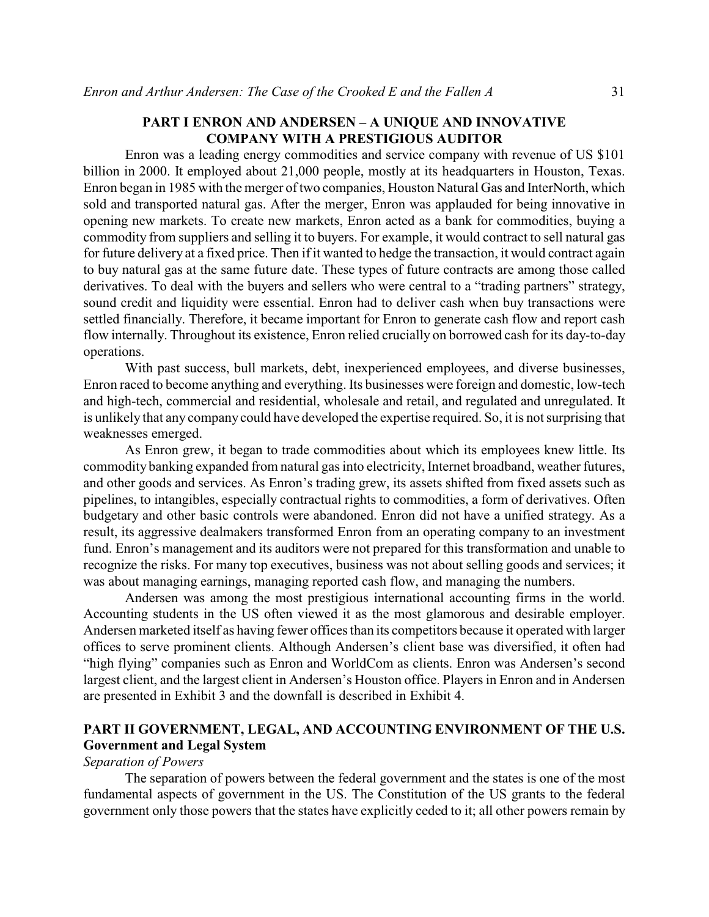#### **PART I ENRON AND ANDERSEN – A UNIQUE AND INNOVATIVE COMPANY WITH A PRESTIGIOUS AUDITOR**

Enron was a leading energy commodities and service company with revenue of US \$101 billion in 2000. It employed about 21,000 people, mostly at its headquarters in Houston, Texas. Enron began in 1985 with the merger of two companies, Houston Natural Gas and InterNorth, which sold and transported natural gas. After the merger, Enron was applauded for being innovative in opening new markets. To create new markets, Enron acted as a bank for commodities, buying a commodity from suppliers and selling it to buyers. For example, it would contract to sell natural gas for future delivery at a fixed price. Then if it wanted to hedge the transaction, it would contract again to buy natural gas at the same future date. These types of future contracts are among those called derivatives. To deal with the buyers and sellers who were central to a "trading partners" strategy, sound credit and liquidity were essential. Enron had to deliver cash when buy transactions were settled financially. Therefore, it became important for Enron to generate cash flow and report cash flow internally. Throughout its existence, Enron relied crucially on borrowed cash for its day-to-day operations.

With past success, bull markets, debt, inexperienced employees, and diverse businesses, Enron raced to become anything and everything. Its businesses were foreign and domestic, low-tech and high-tech, commercial and residential, wholesale and retail, and regulated and unregulated. It is unlikely that any companycould have developed the expertise required. So, it is not surprising that weaknesses emerged.

As Enron grew, it began to trade commodities about which its employees knew little. Its commodity banking expanded from natural gas into electricity, Internet broadband, weather futures, and other goods and services. As Enron's trading grew, its assets shifted from fixed assets such as pipelines, to intangibles, especially contractual rights to commodities, a form of derivatives. Often budgetary and other basic controls were abandoned. Enron did not have a unified strategy. As a result, its aggressive dealmakers transformed Enron from an operating company to an investment fund. Enron's management and its auditors were not prepared for this transformation and unable to recognize the risks. For many top executives, business was not about selling goods and services; it was about managing earnings, managing reported cash flow, and managing the numbers.

Andersen was among the most prestigious international accounting firms in the world. Accounting students in the US often viewed it as the most glamorous and desirable employer. Andersen marketed itself as having fewer offices than its competitors because it operated with larger offices to serve prominent clients. Although Andersen's client base was diversified, it often had "high flying" companies such as Enron and WorldCom as clients. Enron was Andersen's second largest client, and the largest client in Andersen's Houston office. Players in Enron and in Andersen are presented in Exhibit 3 and the downfall is described in Exhibit 4.

# **PART II GOVERNMENT, LEGAL, AND ACCOUNTING ENVIRONMENT OF THE U.S. Government and Legal System**

# *Separation of Powers*

The separation of powers between the federal government and the states is one of the most fundamental aspects of government in the US. The Constitution of the US grants to the federal government only those powers that the states have explicitly ceded to it; all other powers remain by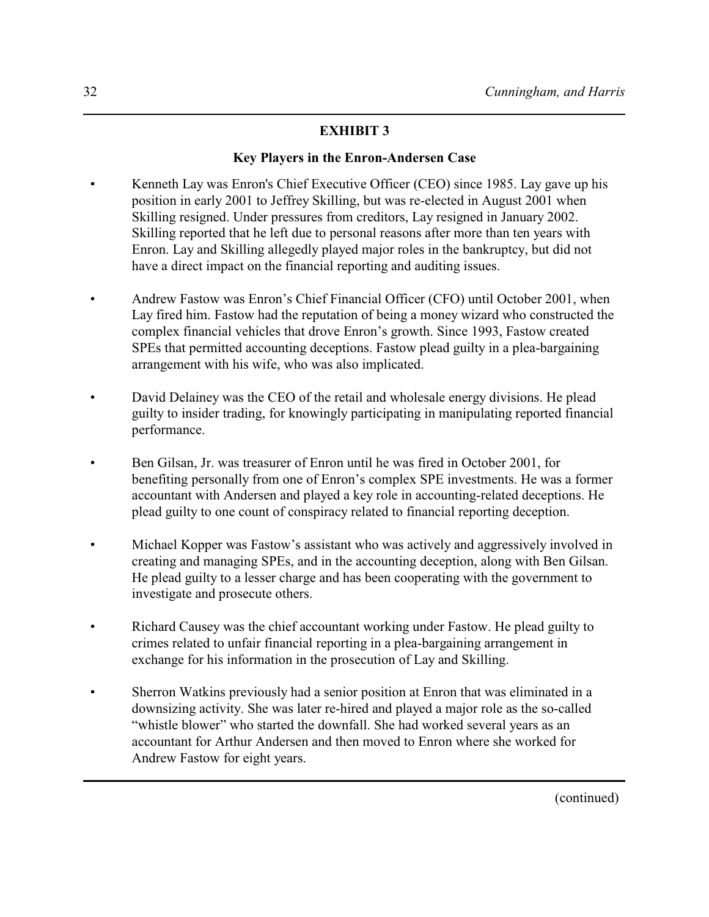# **EXHIBIT 3**

# **Key Players in the Enron-Andersen Case**

- Kenneth Lay was Enron's Chief Executive Officer (CEO) since 1985. Lay gave up his position in early 2001 to Jeffrey Skilling, but was re-elected in August 2001 when Skilling resigned. Under pressures from creditors, Lay resigned in January 2002. Skilling reported that he left due to personal reasons after more than ten years with Enron. Lay and Skilling allegedly played major roles in the bankruptcy, but did not have a direct impact on the financial reporting and auditing issues.
- Andrew Fastow was Enron's Chief Financial Officer (CFO) until October 2001, when Lay fired him. Fastow had the reputation of being a money wizard who constructed the complex financial vehicles that drove Enron's growth. Since 1993, Fastow created SPEs that permitted accounting deceptions. Fastow plead guilty in a plea-bargaining arrangement with his wife, who was also implicated.
- David Delainey was the CEO of the retail and wholesale energy divisions. He plead guilty to insider trading, for knowingly participating in manipulating reported financial performance.
- Ben Gilsan, Jr. was treasurer of Enron until he was fired in October 2001, for benefiting personally from one of Enron's complex SPE investments. He was a former accountant with Andersen and played a key role in accounting-related deceptions. He plead guilty to one count of conspiracy related to financial reporting deception.
- Michael Kopper was Fastow's assistant who was actively and aggressively involved in creating and managing SPEs, and in the accounting deception, along with Ben Gilsan. He plead guilty to a lesser charge and has been cooperating with the government to investigate and prosecute others.
- Richard Causey was the chief accountant working under Fastow. He plead guilty to crimes related to unfair financial reporting in a plea-bargaining arrangement in exchange for his information in the prosecution of Lay and Skilling.
- Sherron Watkins previously had a senior position at Enron that was eliminated in a downsizing activity. She was later re-hired and played a major role as the so-called "whistle blower" who started the downfall. She had worked several years as an accountant for Arthur Andersen and then moved to Enron where she worked for Andrew Fastow for eight years.

(continued)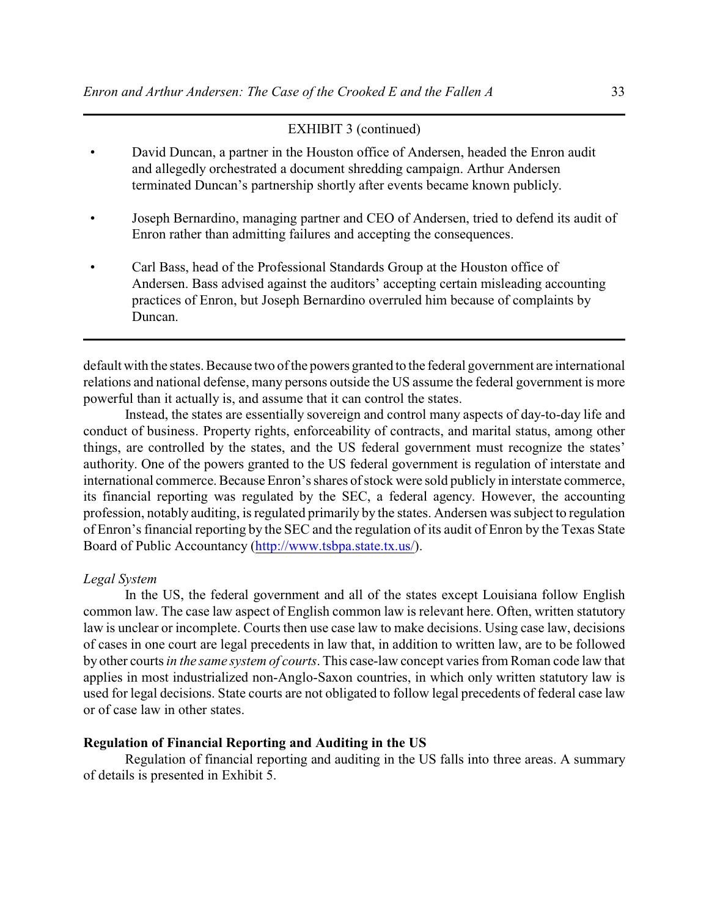#### EXHIBIT 3 (continued)

- David Duncan, a partner in the Houston office of Andersen, headed the Enron audit and allegedly orchestrated a document shredding campaign. Arthur Andersen terminated Duncan's partnership shortly after events became known publicly.
- Joseph Bernardino, managing partner and CEO of Andersen, tried to defend its audit of Enron rather than admitting failures and accepting the consequences.
- Carl Bass, head of the Professional Standards Group at the Houston office of Andersen. Bass advised against the auditors' accepting certain misleading accounting practices of Enron, but Joseph Bernardino overruled him because of complaints by Duncan.

default with the states. Because two of the powers granted to the federal government are international relations and national defense, many persons outside the US assume the federal government is more powerful than it actually is, and assume that it can control the states.

Instead, the states are essentially sovereign and control many aspects of day-to-day life and conduct of business. Property rights, enforceability of contracts, and marital status, among other things, are controlled by the states, and the US federal government must recognize the states' authority. One of the powers granted to the US federal government is regulation of interstate and international commerce. Because Enron's shares of stock were sold publicly in interstate commerce, its financial reporting was regulated by the SEC, a federal agency. However, the accounting profession, notably auditing, is regulated primarily by the states. Andersen was subject to regulation of Enron's financial reporting by the SEC and the regulation of its audit of Enron by the Texas State Board of Public Accountancy [\(http://www.tsbpa.state.tx.us/](http://www.tsbpa.state.tx.us/)).

#### *Legal System*

In the US, the federal government and all of the states except Louisiana follow English common law. The case law aspect of English common law is relevant here. Often, written statutory law is unclear or incomplete. Courts then use case law to make decisions. Using case law, decisions of cases in one court are legal precedents in law that, in addition to written law, are to be followed by other courts *in the same system of courts*. This case-law concept varies from Roman code law that applies in most industrialized non-Anglo-Saxon countries, in which only written statutory law is used for legal decisions. State courts are not obligated to follow legal precedents of federal case law or of case law in other states.

#### **Regulation of Financial Reporting and Auditing in the US**

Regulation of financial reporting and auditing in the US falls into three areas. A summary of details is presented in Exhibit 5.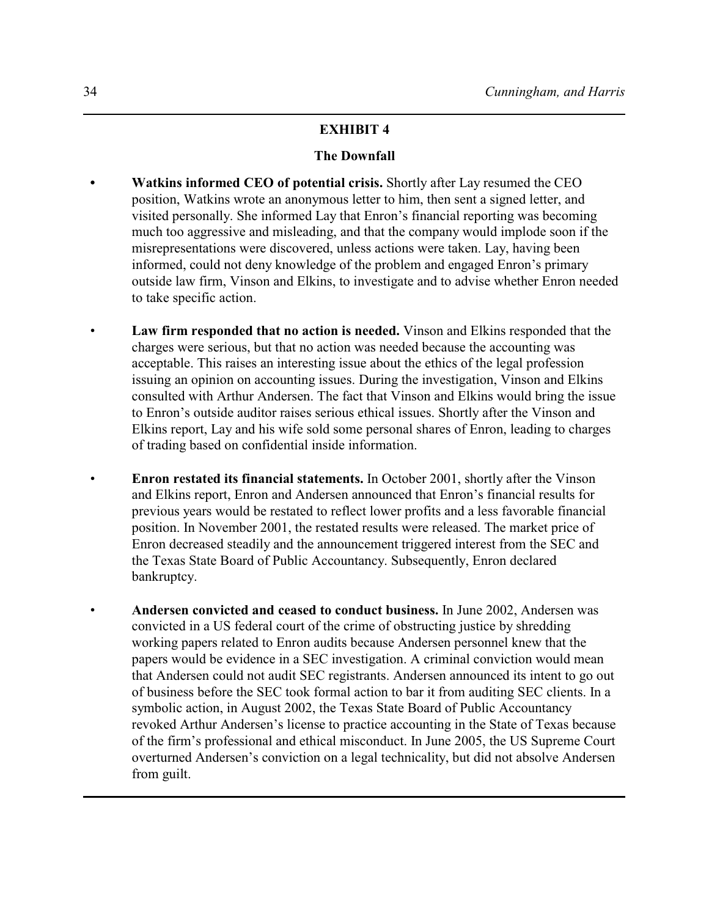#### **EXHIBIT 4**

#### **The Downfall**

- **• Watkins informed CEO of potential crisis.** Shortly after Lay resumed the CEO position, Watkins wrote an anonymous letter to him, then sent a signed letter, and visited personally. She informed Lay that Enron's financial reporting was becoming much too aggressive and misleading, and that the company would implode soon if the misrepresentations were discovered, unless actions were taken. Lay, having been informed, could not deny knowledge of the problem and engaged Enron's primary outside law firm, Vinson and Elkins, to investigate and to advise whether Enron needed to take specific action.
- **Law firm responded that no action is needed.** Vinson and Elkins responded that the charges were serious, but that no action was needed because the accounting was acceptable. This raises an interesting issue about the ethics of the legal profession issuing an opinion on accounting issues. During the investigation, Vinson and Elkins consulted with Arthur Andersen. The fact that Vinson and Elkins would bring the issue to Enron's outside auditor raises serious ethical issues. Shortly after the Vinson and Elkins report, Lay and his wife sold some personal shares of Enron, leading to charges of trading based on confidential inside information.
- **Enron restated its financial statements.** In October 2001, shortly after the Vinson and Elkins report, Enron and Andersen announced that Enron's financial results for previous years would be restated to reflect lower profits and a less favorable financial position. In November 2001, the restated results were released. The market price of Enron decreased steadily and the announcement triggered interest from the SEC and the Texas State Board of Public Accountancy. Subsequently, Enron declared bankruptcy.
- **Andersen convicted and ceased to conduct business.** In June 2002, Andersen was convicted in a US federal court of the crime of obstructing justice by shredding working papers related to Enron audits because Andersen personnel knew that the papers would be evidence in a SEC investigation. A criminal conviction would mean that Andersen could not audit SEC registrants. Andersen announced its intent to go out of business before the SEC took formal action to bar it from auditing SEC clients. In a symbolic action, in August 2002, the Texas State Board of Public Accountancy revoked Arthur Andersen's license to practice accounting in the State of Texas because of the firm's professional and ethical misconduct. In June 2005, the US Supreme Court overturned Andersen's conviction on a legal technicality, but did not absolve Andersen from guilt.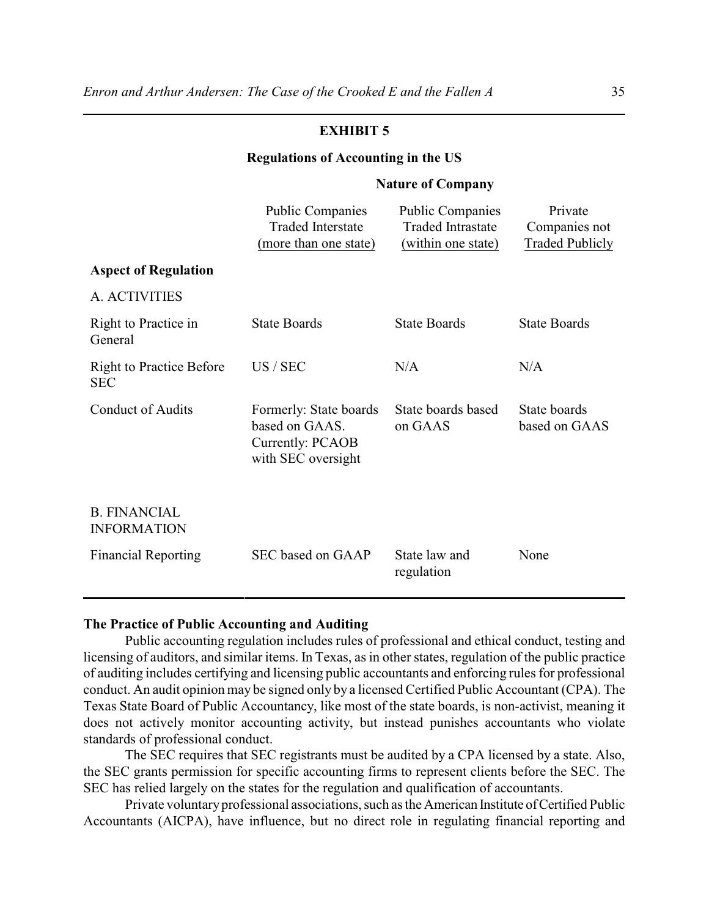#### **EXHIBIT 5**

#### **Regulations of Accounting in the US**

#### **Nature of Company**

|                                               | <b>Public Companies</b><br><b>Traded Interstate</b><br>(more than one state)       | <b>Public Companies</b><br><b>Traded Intrastate</b><br>(within one state) | Private<br>Companies not<br><b>Traded Publicly</b> |
|-----------------------------------------------|------------------------------------------------------------------------------------|---------------------------------------------------------------------------|----------------------------------------------------|
| <b>Aspect of Regulation</b>                   |                                                                                    |                                                                           |                                                    |
| A. ACTIVITIES                                 |                                                                                    |                                                                           |                                                    |
| Right to Practice in<br>General               | <b>State Boards</b>                                                                | <b>State Boards</b>                                                       | <b>State Boards</b>                                |
| <b>Right to Practice Before</b><br><b>SEC</b> | US / SEC                                                                           | N/A                                                                       | N/A                                                |
| <b>Conduct of Audits</b>                      | Formerly: State boards<br>based on GAAS.<br>Currently: PCAOB<br>with SEC oversight | State boards based<br>on GAAS                                             | State boards<br>based on GAAS                      |
| <b>B. FINANCIAL</b><br><b>INFORMATION</b>     |                                                                                    |                                                                           |                                                    |
| <b>Financial Reporting</b>                    | SEC based on GAAP                                                                  | State law and<br>regulation                                               | None                                               |

#### **The Practice of Public Accounting and Auditing**

Public accounting regulation includes rules of professional and ethical conduct, testing and licensing of auditors, and similar items. In Texas, as in other states, regulation of the public practice of auditing includes certifying and licensing public accountants and enforcing rules for professional conduct. An audit opinion may be signed only by a licensed Certified Public Accountant (CPA). The Texas State Board of Public Accountancy, like most of the state boards, is non-activist, meaning it does not actively monitor accounting activity, but instead punishes accountants who violate standards of professional conduct.

The SEC requires that SEC registrants must be audited by a CPA licensed by a state. Also, the SEC grants permission for specific accounting firms to represent clients before the SEC. The SEC has relied largely on the states for the regulation and qualification of accountants.

Private voluntary professional associations, such as the American Institute of Certified Public Accountants (AICPA), have influence, but no direct role in regulating financial reporting and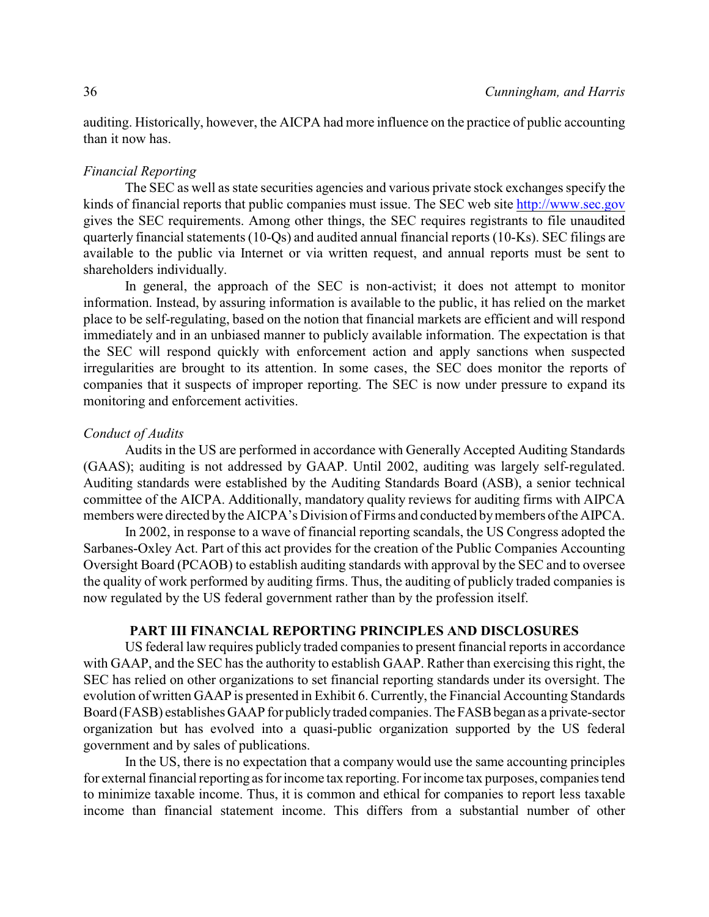auditing. Historically, however, the AICPA had more influence on the practice of public accounting than it now has.

#### *Financial Reporting*

The SEC as well as state securities agencies and various private stock exchanges specify the kinds of financial reports that public companies must issue. The SEC web site<http://www.sec.gov> gives the SEC requirements. Among other things, the SEC requires registrants to file unaudited quarterly financial statements (10-Qs) and audited annual financial reports (10-Ks). SEC filings are available to the public via Internet or via written request, and annual reports must be sent to shareholders individually.

In general, the approach of the SEC is non-activist; it does not attempt to monitor information. Instead, by assuring information is available to the public, it has relied on the market place to be self-regulating, based on the notion that financial markets are efficient and will respond immediately and in an unbiased manner to publicly available information. The expectation is that the SEC will respond quickly with enforcement action and apply sanctions when suspected irregularities are brought to its attention. In some cases, the SEC does monitor the reports of companies that it suspects of improper reporting. The SEC is now under pressure to expand its monitoring and enforcement activities.

#### *Conduct of Audits*

Audits in the US are performed in accordance with Generally Accepted Auditing Standards (GAAS); auditing is not addressed by GAAP. Until 2002, auditing was largely self-regulated. Auditing standards were established by the Auditing Standards Board (ASB), a senior technical committee of the AICPA. Additionally, mandatory quality reviews for auditing firms with AIPCA members were directed by the AICPA's Division of Firms and conducted by members of the AIPCA.

In 2002, in response to a wave of financial reporting scandals, the US Congress adopted the Sarbanes-Oxley Act. Part of this act provides for the creation of the Public Companies Accounting Oversight Board (PCAOB) to establish auditing standards with approval by the SEC and to oversee the quality of work performed by auditing firms. Thus, the auditing of publicly traded companies is now regulated by the US federal government rather than by the profession itself.

### **PART III FINANCIAL REPORTING PRINCIPLES AND DISCLOSURES**

US federal law requires publicly traded companies to present financial reports in accordance with GAAP, and the SEC has the authority to establish GAAP. Rather than exercising this right, the SEC has relied on other organizations to set financial reporting standards under its oversight. The evolution of written GAAP is presented in Exhibit 6. Currently, the Financial Accounting Standards Board (FASB) establishes GAAP for publicly traded companies. The FASB began as a private-sector organization but has evolved into a quasi-public organization supported by the US federal government and by sales of publications.

In the US, there is no expectation that a company would use the same accounting principles for external financial reporting as for income tax reporting. For income tax purposes, companies tend to minimize taxable income. Thus, it is common and ethical for companies to report less taxable income than financial statement income. This differs from a substantial number of other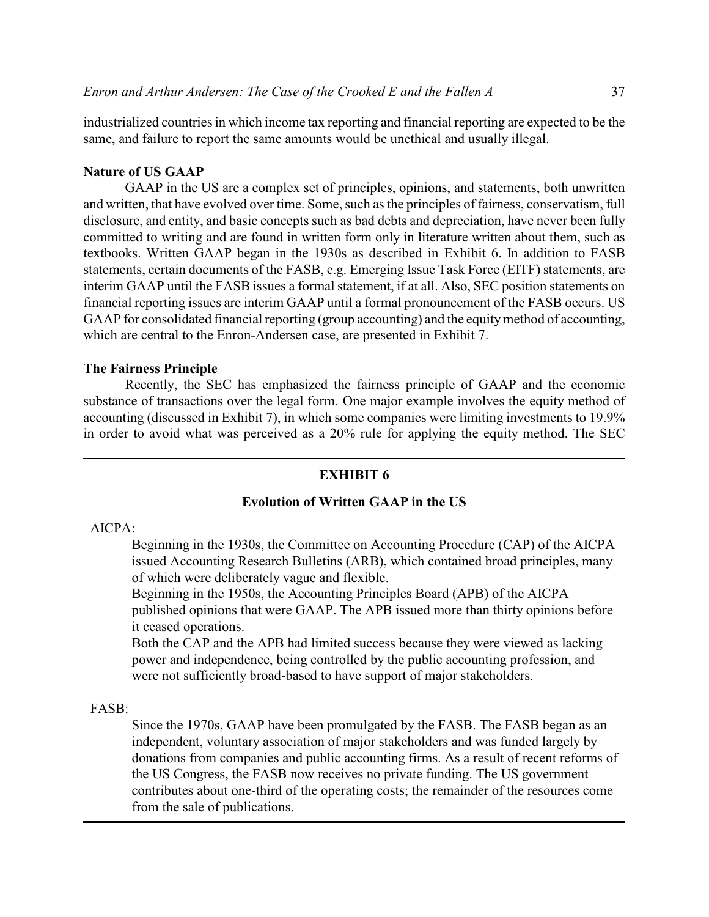industrialized countries in which income tax reporting and financial reporting are expected to be the same, and failure to report the same amounts would be unethical and usually illegal.

# **Nature of US GAAP**

GAAP in the US are a complex set of principles, opinions, and statements, both unwritten and written, that have evolved over time. Some, such as the principles of fairness, conservatism, full disclosure, and entity, and basic concepts such as bad debts and depreciation, have never been fully committed to writing and are found in written form only in literature written about them, such as textbooks. Written GAAP began in the 1930s as described in Exhibit 6. In addition to FASB statements, certain documents of the FASB, e.g. Emerging Issue Task Force (EITF) statements, are interim GAAP until the FASB issues a formal statement, if at all. Also, SEC position statements on financial reporting issues are interim GAAP until a formal pronouncement of the FASB occurs. US GAAP for consolidated financial reporting (group accounting) and the equity method of accounting, which are central to the Enron-Andersen case, are presented in Exhibit 7.

#### **The Fairness Principle**

Recently, the SEC has emphasized the fairness principle of GAAP and the economic substance of transactions over the legal form. One major example involves the equity method of accounting (discussed in Exhibit 7), in which some companies were limiting investments to 19.9% in order to avoid what was perceived as a 20% rule for applying the equity method. The SEC

## **EXHIBIT 6**

#### **Evolution of Written GAAP in the US**

#### AICPA:

Beginning in the 1930s, the Committee on Accounting Procedure (CAP) of the AICPA issued Accounting Research Bulletins (ARB), which contained broad principles, many of which were deliberately vague and flexible.

Beginning in the 1950s, the Accounting Principles Board (APB) of the AICPA published opinions that were GAAP. The APB issued more than thirty opinions before it ceased operations.

Both the CAP and the APB had limited success because they were viewed as lacking power and independence, being controlled by the public accounting profession, and were not sufficiently broad-based to have support of major stakeholders.

# FASB:

Since the 1970s, GAAP have been promulgated by the FASB. The FASB began as an independent, voluntary association of major stakeholders and was funded largely by donations from companies and public accounting firms. As a result of recent reforms of the US Congress, the FASB now receives no private funding. The US government contributes about one-third of the operating costs; the remainder of the resources come from the sale of publications.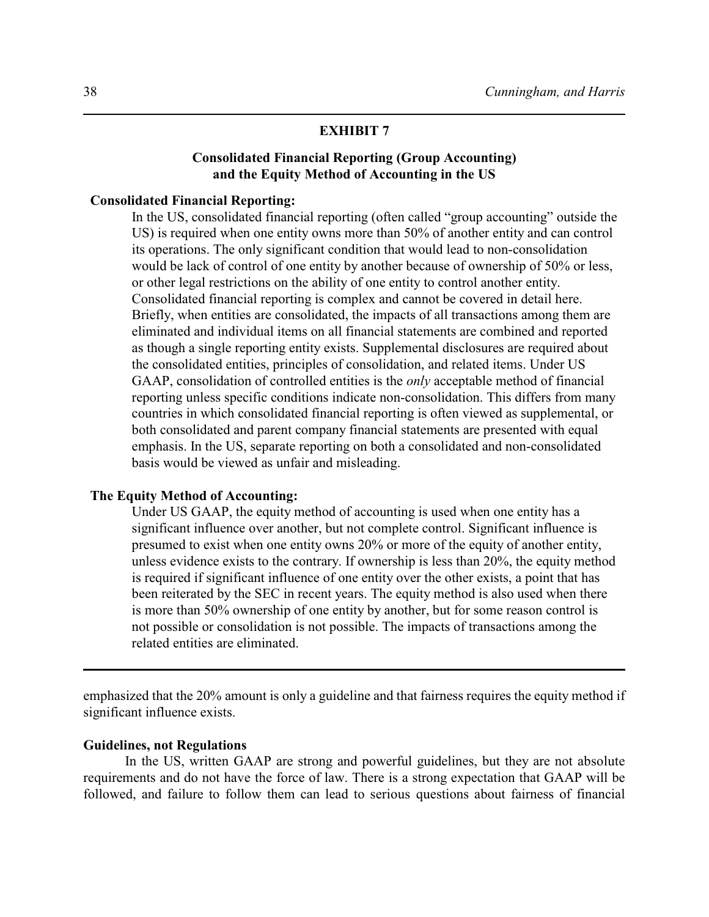#### **EXHIBIT 7**

# **Consolidated Financial Reporting (Group Accounting) and the Equity Method of Accounting in the US**

#### **Consolidated Financial Reporting:**

In the US, consolidated financial reporting (often called "group accounting" outside the US) is required when one entity owns more than 50% of another entity and can control its operations. The only significant condition that would lead to non-consolidation would be lack of control of one entity by another because of ownership of 50% or less, or other legal restrictions on the ability of one entity to control another entity. Consolidated financial reporting is complex and cannot be covered in detail here. Briefly, when entities are consolidated, the impacts of all transactions among them are eliminated and individual items on all financial statements are combined and reported as though a single reporting entity exists. Supplemental disclosures are required about the consolidated entities, principles of consolidation, and related items. Under US GAAP, consolidation of controlled entities is the *only* acceptable method of financial reporting unless specific conditions indicate non-consolidation. This differs from many countries in which consolidated financial reporting is often viewed as supplemental, or both consolidated and parent company financial statements are presented with equal emphasis. In the US, separate reporting on both a consolidated and non-consolidated basis would be viewed as unfair and misleading.

#### **The Equity Method of Accounting:**

Under US GAAP, the equity method of accounting is used when one entity has a significant influence over another, but not complete control. Significant influence is presumed to exist when one entity owns 20% or more of the equity of another entity, unless evidence exists to the contrary. If ownership is less than 20%, the equity method is required if significant influence of one entity over the other exists, a point that has been reiterated by the SEC in recent years. The equity method is also used when there is more than 50% ownership of one entity by another, but for some reason control is not possible or consolidation is not possible. The impacts of transactions among the related entities are eliminated.

emphasized that the 20% amount is only a guideline and that fairness requires the equity method if significant influence exists.

#### **Guidelines, not Regulations**

In the US, written GAAP are strong and powerful guidelines, but they are not absolute requirements and do not have the force of law. There is a strong expectation that GAAP will be followed, and failure to follow them can lead to serious questions about fairness of financial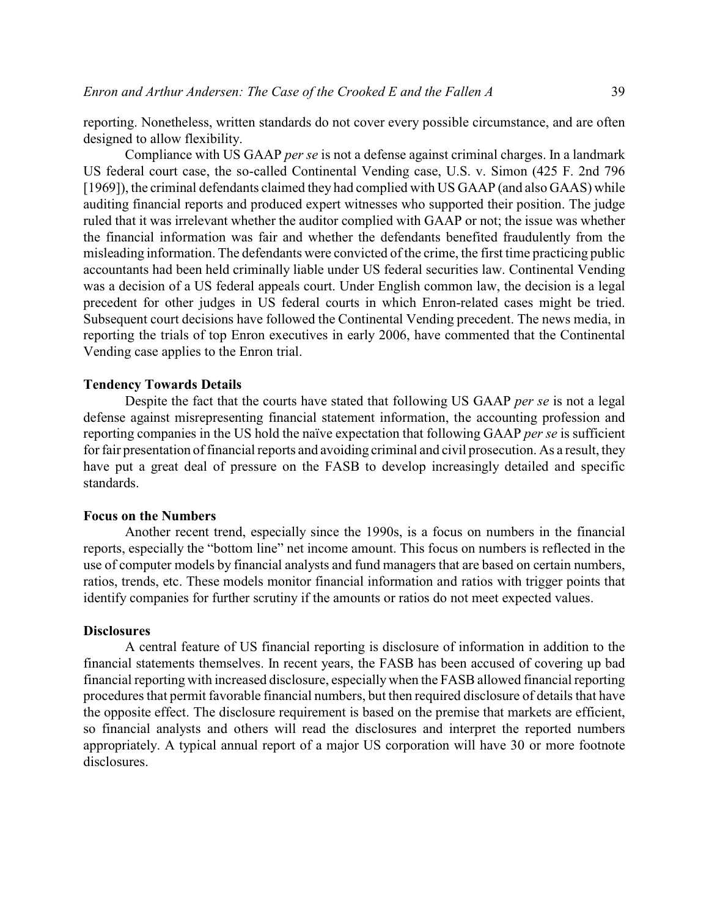reporting. Nonetheless, written standards do not cover every possible circumstance, and are often designed to allow flexibility.

Compliance with US GAAP *per se* is not a defense against criminal charges. In a landmark US federal court case, the so-called Continental Vending case, U.S. v. Simon (425 F. 2nd 796 [1969]), the criminal defendants claimed they had complied with US GAAP (and also GAAS) while auditing financial reports and produced expert witnesses who supported their position. The judge ruled that it was irrelevant whether the auditor complied with GAAP or not; the issue was whether the financial information was fair and whether the defendants benefited fraudulently from the misleading information. The defendants were convicted of the crime, the first time practicing public accountants had been held criminally liable under US federal securities law. Continental Vending was a decision of a US federal appeals court. Under English common law, the decision is a legal precedent for other judges in US federal courts in which Enron-related cases might be tried. Subsequent court decisions have followed the Continental Vending precedent. The news media, in reporting the trials of top Enron executives in early 2006, have commented that the Continental Vending case applies to the Enron trial.

#### **Tendency Towards Details**

Despite the fact that the courts have stated that following US GAAP *per se* is not a legal defense against misrepresenting financial statement information, the accounting profession and reporting companies in the US hold the naïve expectation that following GAAP *per se* is sufficient for fair presentation of financial reports and avoiding criminal and civil prosecution. As a result, they have put a great deal of pressure on the FASB to develop increasingly detailed and specific standards.

#### **Focus on the Numbers**

Another recent trend, especially since the 1990s, is a focus on numbers in the financial reports, especially the "bottom line" net income amount. This focus on numbers is reflected in the use of computer models by financial analysts and fund managers that are based on certain numbers, ratios, trends, etc. These models monitor financial information and ratios with trigger points that identify companies for further scrutiny if the amounts or ratios do not meet expected values.

#### **Disclosures**

A central feature of US financial reporting is disclosure of information in addition to the financial statements themselves. In recent years, the FASB has been accused of covering up bad financial reporting with increased disclosure, especially when the FASB allowed financial reporting procedures that permit favorable financial numbers, but then required disclosure of details that have the opposite effect. The disclosure requirement is based on the premise that markets are efficient, so financial analysts and others will read the disclosures and interpret the reported numbers appropriately. A typical annual report of a major US corporation will have 30 or more footnote disclosures.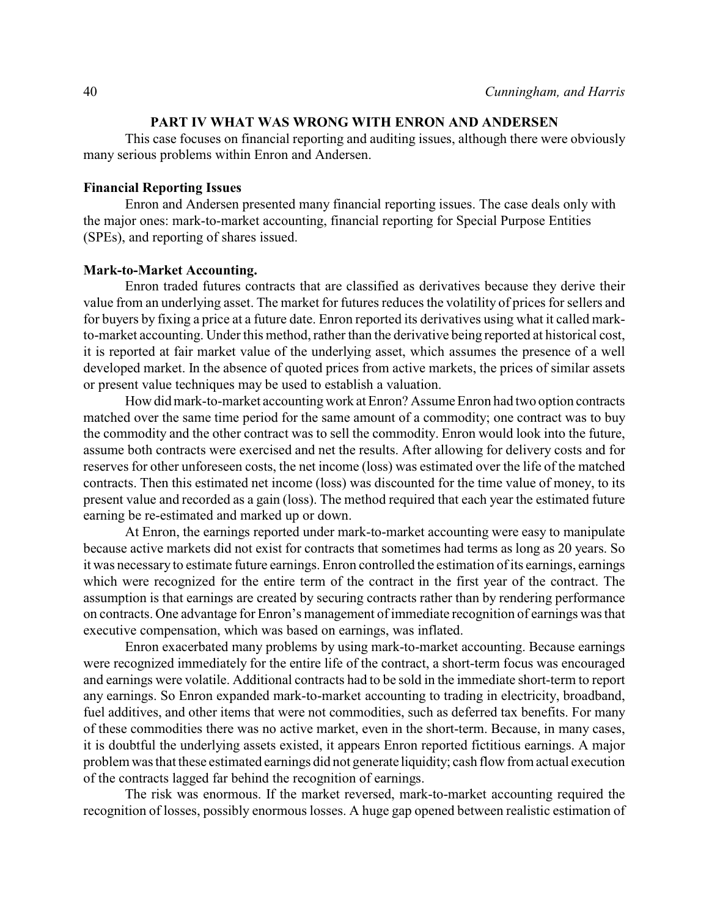#### **PART IV WHAT WAS WRONG WITH ENRON AND ANDERSEN**

This case focuses on financial reporting and auditing issues, although there were obviously many serious problems within Enron and Andersen.

#### **Financial Reporting Issues**

Enron and Andersen presented many financial reporting issues. The case deals only with the major ones: mark-to-market accounting, financial reporting for Special Purpose Entities (SPEs), and reporting of shares issued.

#### **Mark-to-Market Accounting.**

Enron traded futures contracts that are classified as derivatives because they derive their value from an underlying asset. The market for futures reduces the volatility of prices for sellers and for buyers by fixing a price at a future date. Enron reported its derivatives using what it called markto-market accounting. Under this method, rather than the derivative being reported at historical cost, it is reported at fair market value of the underlying asset, which assumes the presence of a well developed market. In the absence of quoted prices from active markets, the prices of similar assets or present value techniques may be used to establish a valuation.

How did mark-to-market accounting work at Enron? Assume Enron had two option contracts matched over the same time period for the same amount of a commodity; one contract was to buy the commodity and the other contract was to sell the commodity. Enron would look into the future, assume both contracts were exercised and net the results. After allowing for delivery costs and for reserves for other unforeseen costs, the net income (loss) was estimated over the life of the matched contracts. Then this estimated net income (loss) was discounted for the time value of money, to its present value and recorded as a gain (loss). The method required that each year the estimated future earning be re-estimated and marked up or down.

At Enron, the earnings reported under mark-to-market accounting were easy to manipulate because active markets did not exist for contracts that sometimes had terms as long as 20 years. So it was necessary to estimate future earnings. Enron controlled the estimation of its earnings, earnings which were recognized for the entire term of the contract in the first year of the contract. The assumption is that earnings are created by securing contracts rather than by rendering performance on contracts. One advantage for Enron's management of immediate recognition of earnings was that executive compensation, which was based on earnings, was inflated.

Enron exacerbated many problems by using mark-to-market accounting. Because earnings were recognized immediately for the entire life of the contract, a short-term focus was encouraged and earnings were volatile. Additional contracts had to be sold in the immediate short-term to report any earnings. So Enron expanded mark-to-market accounting to trading in electricity, broadband, fuel additives, and other items that were not commodities, such as deferred tax benefits. For many of these commodities there was no active market, even in the short-term. Because, in many cases, it is doubtful the underlying assets existed, it appears Enron reported fictitious earnings. A major problem was that these estimated earnings did not generate liquidity; cash flow from actual execution of the contracts lagged far behind the recognition of earnings.

The risk was enormous. If the market reversed, mark-to-market accounting required the recognition of losses, possibly enormous losses. A huge gap opened between realistic estimation of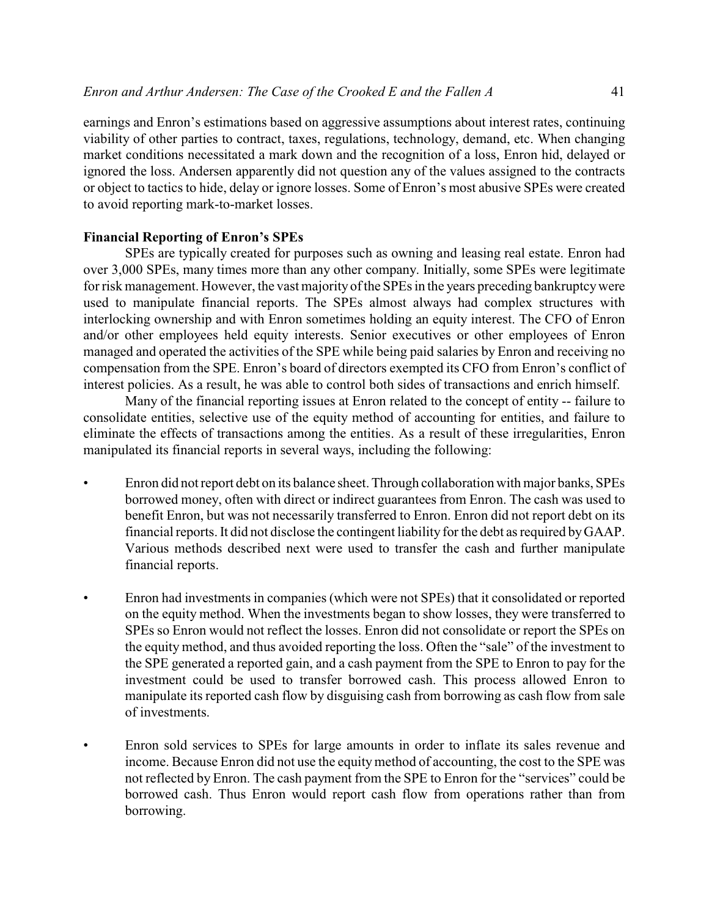earnings and Enron's estimations based on aggressive assumptions about interest rates, continuing viability of other parties to contract, taxes, regulations, technology, demand, etc. When changing market conditions necessitated a mark down and the recognition of a loss, Enron hid, delayed or ignored the loss. Andersen apparently did not question any of the values assigned to the contracts or object to tactics to hide, delay or ignore losses. Some of Enron's most abusive SPEs were created to avoid reporting mark-to-market losses.

#### **Financial Reporting of Enron's SPEs**

SPEs are typically created for purposes such as owning and leasing real estate. Enron had over 3,000 SPEs, many times more than any other company. Initially, some SPEs were legitimate for risk management. However, the vast majority of the SPEs in the years preceding bankruptcy were used to manipulate financial reports. The SPEs almost always had complex structures with interlocking ownership and with Enron sometimes holding an equity interest. The CFO of Enron and/or other employees held equity interests. Senior executives or other employees of Enron managed and operated the activities of the SPE while being paid salaries by Enron and receiving no compensation from the SPE. Enron's board of directors exempted its CFO from Enron's conflict of interest policies. As a result, he was able to control both sides of transactions and enrich himself.

Many of the financial reporting issues at Enron related to the concept of entity -- failure to consolidate entities, selective use of the equity method of accounting for entities, and failure to eliminate the effects of transactions among the entities. As a result of these irregularities, Enron manipulated its financial reports in several ways, including the following:

- Enron did not report debt on its balance sheet. Through collaboration with major banks, SPEs borrowed money, often with direct or indirect guarantees from Enron. The cash was used to benefit Enron, but was not necessarily transferred to Enron. Enron did not report debt on its financial reports. It did not disclose the contingent liability for the debt as required by GAAP. Various methods described next were used to transfer the cash and further manipulate financial reports.
- Enron had investments in companies (which were not SPEs) that it consolidated or reported on the equity method. When the investments began to show losses, they were transferred to SPEs so Enron would not reflect the losses. Enron did not consolidate or report the SPEs on the equity method, and thus avoided reporting the loss. Often the "sale" of the investment to the SPE generated a reported gain, and a cash payment from the SPE to Enron to pay for the investment could be used to transfer borrowed cash. This process allowed Enron to manipulate its reported cash flow by disguising cash from borrowing as cash flow from sale of investments.
- Enron sold services to SPEs for large amounts in order to inflate its sales revenue and income. Because Enron did not use the equity method of accounting, the cost to the SPE was not reflected by Enron. The cash payment from the SPE to Enron for the "services" could be borrowed cash. Thus Enron would report cash flow from operations rather than from borrowing.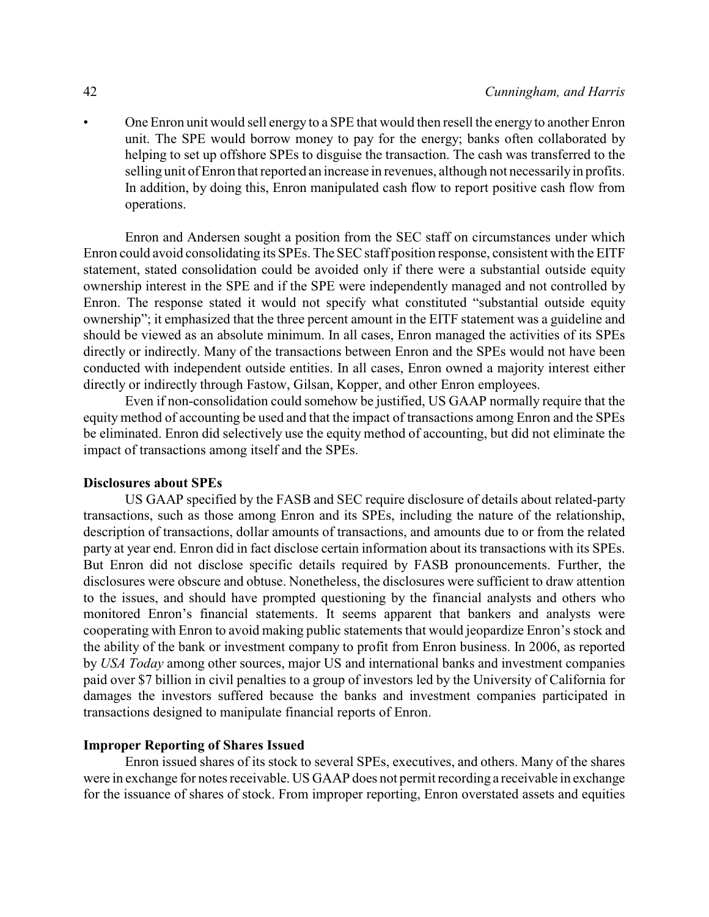• One Enron unit would sell energy to a SPE that would then resell the energy to another Enron unit. The SPE would borrow money to pay for the energy; banks often collaborated by helping to set up offshore SPEs to disguise the transaction. The cash was transferred to the selling unit of Enron that reported an increase in revenues, although not necessarily in profits. In addition, by doing this, Enron manipulated cash flow to report positive cash flow from operations.

Enron and Andersen sought a position from the SEC staff on circumstances under which Enron could avoid consolidating its SPEs. The SEC staff position response, consistent with the EITF statement, stated consolidation could be avoided only if there were a substantial outside equity ownership interest in the SPE and if the SPE were independently managed and not controlled by Enron. The response stated it would not specify what constituted "substantial outside equity ownership"; it emphasized that the three percent amount in the EITF statement was a guideline and should be viewed as an absolute minimum. In all cases, Enron managed the activities of its SPEs directly or indirectly. Many of the transactions between Enron and the SPEs would not have been conducted with independent outside entities. In all cases, Enron owned a majority interest either directly or indirectly through Fastow, Gilsan, Kopper, and other Enron employees.

Even if non-consolidation could somehow be justified, US GAAP normally require that the equity method of accounting be used and that the impact of transactions among Enron and the SPEs be eliminated. Enron did selectively use the equity method of accounting, but did not eliminate the impact of transactions among itself and the SPEs.

#### **Disclosures about SPEs**

US GAAP specified by the FASB and SEC require disclosure of details about related-party transactions, such as those among Enron and its SPEs, including the nature of the relationship, description of transactions, dollar amounts of transactions, and amounts due to or from the related party at year end. Enron did in fact disclose certain information about its transactions with its SPEs. But Enron did not disclose specific details required by FASB pronouncements. Further, the disclosures were obscure and obtuse. Nonetheless, the disclosures were sufficient to draw attention to the issues, and should have prompted questioning by the financial analysts and others who monitored Enron's financial statements. It seems apparent that bankers and analysts were cooperating with Enron to avoid making public statements that would jeopardize Enron's stock and the ability of the bank or investment company to profit from Enron business. In 2006, as reported by *USA Today* among other sources, major US and international banks and investment companies paid over \$7 billion in civil penalties to a group of investors led by the University of California for damages the investors suffered because the banks and investment companies participated in transactions designed to manipulate financial reports of Enron.

#### **Improper Reporting of Shares Issued**

Enron issued shares of its stock to several SPEs, executives, and others. Many of the shares were in exchange for notes receivable. US GAAP does not permit recording a receivable in exchange for the issuance of shares of stock. From improper reporting, Enron overstated assets and equities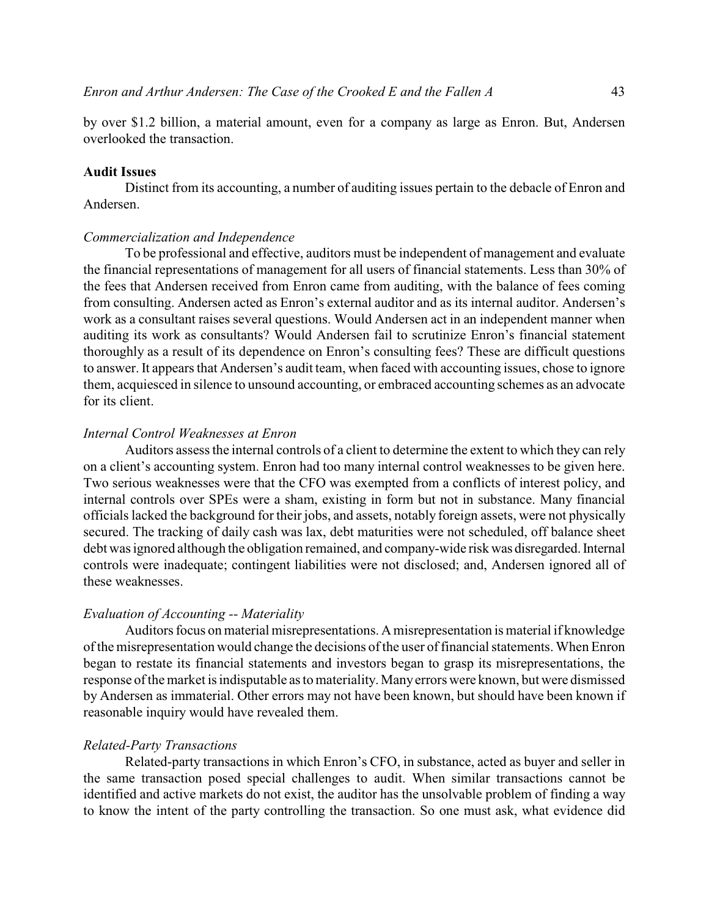by over \$1.2 billion, a material amount, even for a company as large as Enron. But, Andersen overlooked the transaction.

#### **Audit Issues**

Distinct from its accounting, a number of auditing issues pertain to the debacle of Enron and Andersen.

#### *Commercialization and Independence*

To be professional and effective, auditors must be independent of management and evaluate the financial representations of management for all users of financial statements. Less than 30% of the fees that Andersen received from Enron came from auditing, with the balance of fees coming from consulting. Andersen acted as Enron's external auditor and as its internal auditor. Andersen's work as a consultant raises several questions. Would Andersen act in an independent manner when auditing its work as consultants? Would Andersen fail to scrutinize Enron's financial statement thoroughly as a result of its dependence on Enron's consulting fees? These are difficult questions to answer. It appears that Andersen's audit team, when faced with accounting issues, chose to ignore them, acquiesced in silence to unsound accounting, or embraced accounting schemes as an advocate for its client.

## *Internal Control Weaknesses at Enron*

Auditors assess the internal controls of a client to determine the extent to which they can rely on a client's accounting system. Enron had too many internal control weaknesses to be given here. Two serious weaknesses were that the CFO was exempted from a conflicts of interest policy, and internal controls over SPEs were a sham, existing in form but not in substance. Many financial officials lacked the background for their jobs, and assets, notably foreign assets, were not physically secured. The tracking of daily cash was lax, debt maturities were not scheduled, off balance sheet debt was ignored although the obligation remained, and company-wide risk was disregarded. Internal controls were inadequate; contingent liabilities were not disclosed; and, Andersen ignored all of these weaknesses.

#### *Evaluation of Accounting -- Materiality*

Auditors focus on material misrepresentations. A misrepresentation is material if knowledge of the misrepresentation would change the decisions of the user of financial statements. When Enron began to restate its financial statements and investors began to grasp its misrepresentations, the response of the market is indisputable as to materiality. Many errors were known, but were dismissed by Andersen as immaterial. Other errors may not have been known, but should have been known if reasonable inquiry would have revealed them.

#### *Related-Party Transactions*

Related-party transactions in which Enron's CFO, in substance, acted as buyer and seller in the same transaction posed special challenges to audit. When similar transactions cannot be identified and active markets do not exist, the auditor has the unsolvable problem of finding a way to know the intent of the party controlling the transaction. So one must ask, what evidence did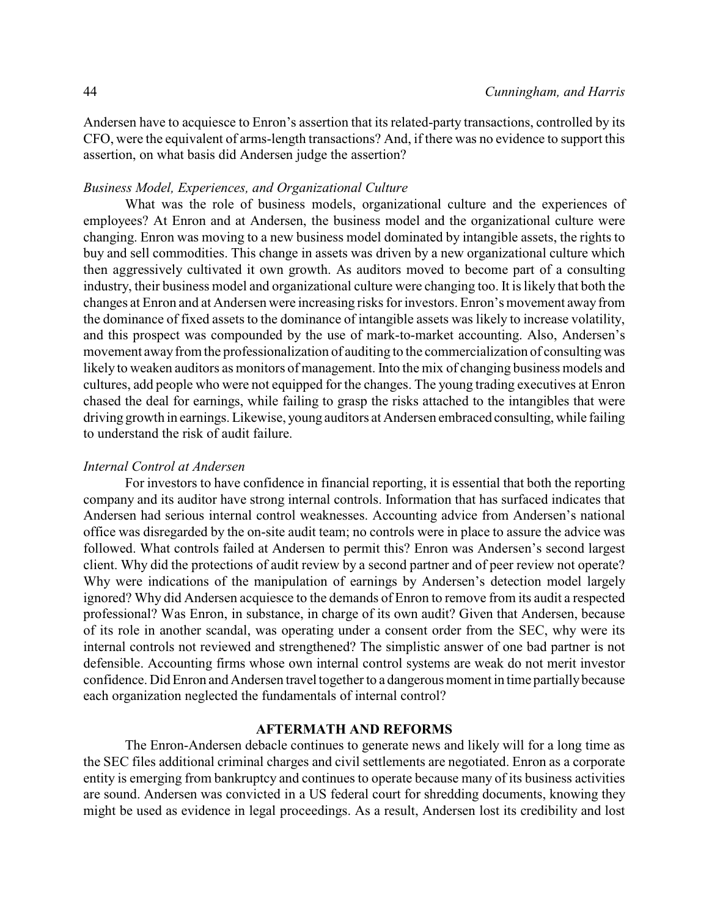Andersen have to acquiesce to Enron's assertion that its related-party transactions, controlled by its CFO, were the equivalent of arms-length transactions? And, if there was no evidence to support this assertion, on what basis did Andersen judge the assertion?

#### *Business Model, Experiences, and Organizational Culture*

What was the role of business models, organizational culture and the experiences of employees? At Enron and at Andersen, the business model and the organizational culture were changing. Enron was moving to a new business model dominated by intangible assets, the rights to buy and sell commodities. This change in assets was driven by a new organizational culture which then aggressively cultivated it own growth. As auditors moved to become part of a consulting industry, their business model and organizational culture were changing too. It is likely that both the changes at Enron and at Andersen were increasing risks for investors. Enron's movement away from the dominance of fixed assets to the dominance of intangible assets was likely to increase volatility, and this prospect was compounded by the use of mark-to-market accounting. Also, Andersen's movement away from the professionalization of auditing to the commercialization of consulting was likely to weaken auditors as monitors of management. Into the mix of changing business models and cultures, add people who were not equipped for the changes. The young trading executives at Enron chased the deal for earnings, while failing to grasp the risks attached to the intangibles that were driving growth in earnings. Likewise, young auditors at Andersen embraced consulting, while failing to understand the risk of audit failure.

#### *Internal Control at Andersen*

For investors to have confidence in financial reporting, it is essential that both the reporting company and its auditor have strong internal controls. Information that has surfaced indicates that Andersen had serious internal control weaknesses. Accounting advice from Andersen's national office was disregarded by the on-site audit team; no controls were in place to assure the advice was followed. What controls failed at Andersen to permit this? Enron was Andersen's second largest client. Why did the protections of audit review by a second partner and of peer review not operate? Why were indications of the manipulation of earnings by Andersen's detection model largely ignored? Why did Andersen acquiesce to the demands of Enron to remove from its audit a respected professional? Was Enron, in substance, in charge of its own audit? Given that Andersen, because of its role in another scandal, was operating under a consent order from the SEC, why were its internal controls not reviewed and strengthened? The simplistic answer of one bad partner is not defensible. Accounting firms whose own internal control systems are weak do not merit investor confidence. Did Enron and Andersen travel together to a dangerous moment in time partially because each organization neglected the fundamentals of internal control?

#### **AFTERMATH AND REFORMS**

The Enron-Andersen debacle continues to generate news and likely will for a long time as the SEC files additional criminal charges and civil settlements are negotiated. Enron as a corporate entity is emerging from bankruptcy and continues to operate because many of its business activities are sound. Andersen was convicted in a US federal court for shredding documents, knowing they might be used as evidence in legal proceedings. As a result, Andersen lost its credibility and lost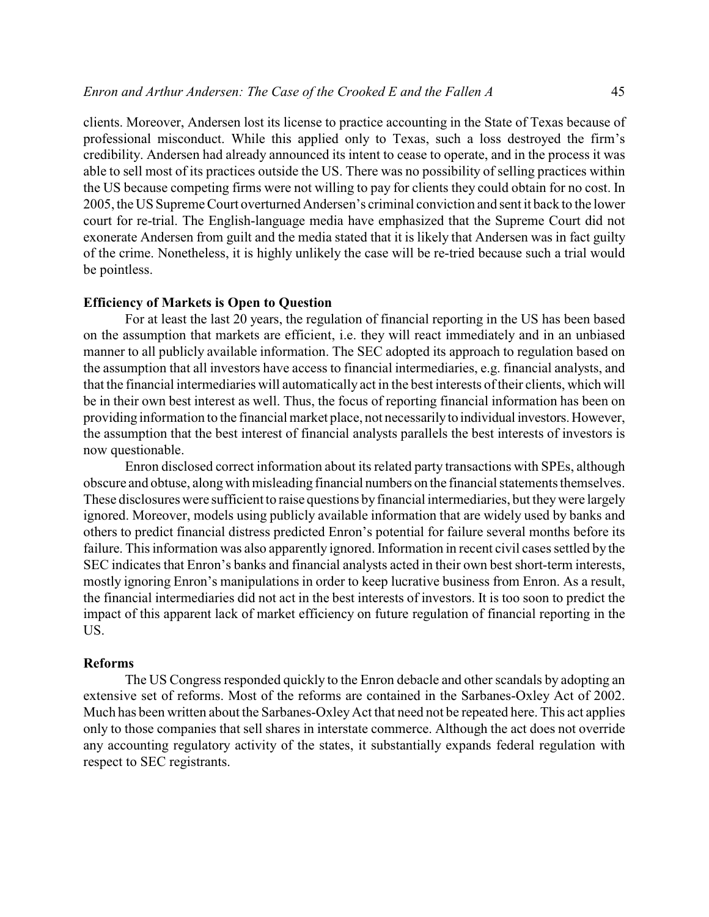clients. Moreover, Andersen lost its license to practice accounting in the State of Texas because of professional misconduct. While this applied only to Texas, such a loss destroyed the firm's credibility. Andersen had already announced its intent to cease to operate, and in the process it was able to sell most of its practices outside the US. There was no possibility of selling practices within the US because competing firms were not willing to pay for clients they could obtain for no cost. In 2005, the US Supreme Court overturned Andersen's criminal conviction and sent it back to the lower court for re-trial. The English-language media have emphasized that the Supreme Court did not exonerate Andersen from guilt and the media stated that it is likely that Andersen was in fact guilty of the crime. Nonetheless, it is highly unlikely the case will be re-tried because such a trial would be pointless.

#### **Efficiency of Markets is Open to Question**

For at least the last 20 years, the regulation of financial reporting in the US has been based on the assumption that markets are efficient, i.e. they will react immediately and in an unbiased manner to all publicly available information. The SEC adopted its approach to regulation based on the assumption that all investors have access to financial intermediaries, e.g. financial analysts, and that the financial intermediaries will automatically act in the best interests of their clients, which will be in their own best interest as well. Thus, the focus of reporting financial information has been on providing information to the financial market place, not necessarily to individual investors. However, the assumption that the best interest of financial analysts parallels the best interests of investors is now questionable.

Enron disclosed correct information about itsrelated party transactions with SPEs, although obscure and obtuse, along with misleading financial numbers on the financial statements themselves. These disclosures were sufficient to raise questions byfinancial intermediaries, but they were largely ignored. Moreover, models using publicly available information that are widely used by banks and others to predict financial distress predicted Enron's potential for failure several months before its failure. This information was also apparently ignored. Information in recent civil cases settled by the SEC indicates that Enron's banks and financial analysts acted in their own best short-term interests, mostly ignoring Enron's manipulations in order to keep lucrative business from Enron. As a result, the financial intermediaries did not act in the best interests of investors. It is too soon to predict the impact of this apparent lack of market efficiency on future regulation of financial reporting in the US.

#### **Reforms**

The US Congress responded quickly to the Enron debacle and other scandals by adopting an extensive set of reforms. Most of the reforms are contained in the Sarbanes-Oxley Act of 2002. Much has been written about the Sarbanes-Oxley Act that need not be repeated here. This act applies only to those companies that sell shares in interstate commerce. Although the act does not override any accounting regulatory activity of the states, it substantially expands federal regulation with respect to SEC registrants.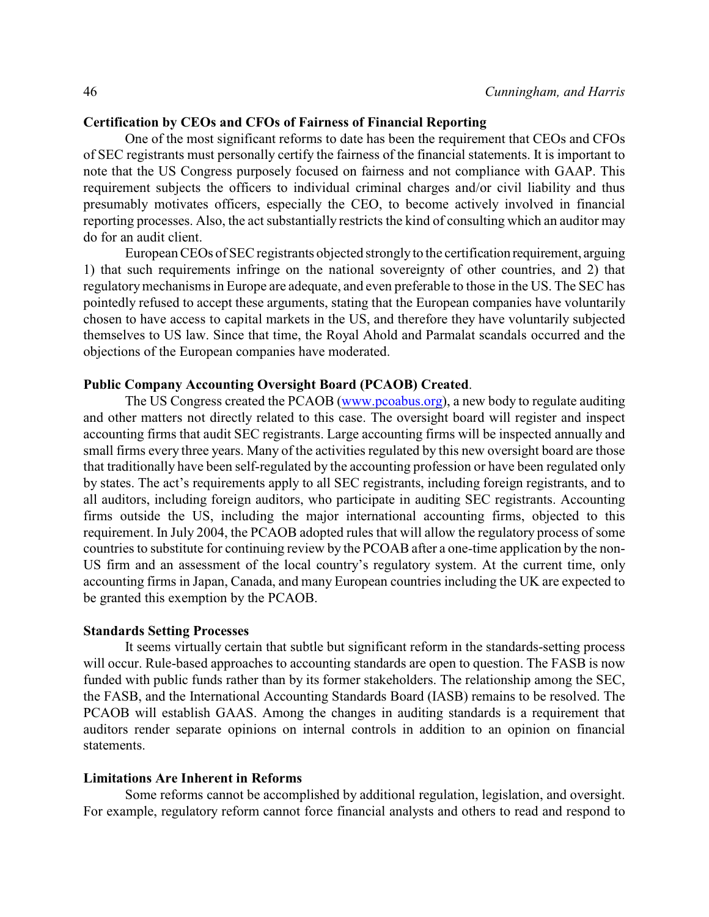#### **Certification by CEOs and CFOs of Fairness of Financial Reporting**

One of the most significant reforms to date has been the requirement that CEOs and CFOs of SEC registrants must personally certify the fairness of the financial statements. It is important to note that the US Congress purposely focused on fairness and not compliance with GAAP. This requirement subjects the officers to individual criminal charges and/or civil liability and thus presumably motivates officers, especially the CEO, to become actively involved in financial reporting processes. Also, the act substantially restricts the kind of consulting which an auditor may do for an audit client.

European CEOs of SEC registrants objected strongly to the certification requirement, arguing 1) that such requirements infringe on the national sovereignty of other countries, and 2) that regulatory mechanisms in Europe are adequate, and even preferable to those in the US. The SEC has pointedly refused to accept these arguments, stating that the European companies have voluntarily chosen to have access to capital markets in the US, and therefore they have voluntarily subjected themselves to US law. Since that time, the Royal Ahold and Parmalat scandals occurred and the objections of the European companies have moderated.

#### **Public Company Accounting Oversight Board (PCAOB) Created**.

The US Congress created the PCAOB [\(www.pcoabus.org](http://www.pcoabus.org)), a new body to regulate auditing and other matters not directly related to this case. The oversight board will register and inspect accounting firms that audit SEC registrants. Large accounting firms will be inspected annually and small firms every three years. Many of the activities regulated by this new oversight board are those that traditionally have been self-regulated by the accounting profession or have been regulated only by states. The act's requirements apply to all SEC registrants, including foreign registrants, and to all auditors, including foreign auditors, who participate in auditing SEC registrants. Accounting firms outside the US, including the major international accounting firms, objected to this requirement. In July 2004, the PCAOB adopted rules that will allow the regulatory process of some countries to substitute for continuing review by the PCOAB after a one-time application by the non-US firm and an assessment of the local country's regulatory system. At the current time, only accounting firms in Japan, Canada, and many European countries including the UK are expected to be granted this exemption by the PCAOB.

#### **Standards Setting Processes**

It seems virtually certain that subtle but significant reform in the standards-setting process will occur. Rule-based approaches to accounting standards are open to question. The FASB is now funded with public funds rather than by its former stakeholders. The relationship among the SEC, the FASB, and the International Accounting Standards Board (IASB) remains to be resolved. The PCAOB will establish GAAS. Among the changes in auditing standards is a requirement that auditors render separate opinions on internal controls in addition to an opinion on financial statements.

#### **Limitations Are Inherent in Reforms**

Some reforms cannot be accomplished by additional regulation, legislation, and oversight. For example, regulatory reform cannot force financial analysts and others to read and respond to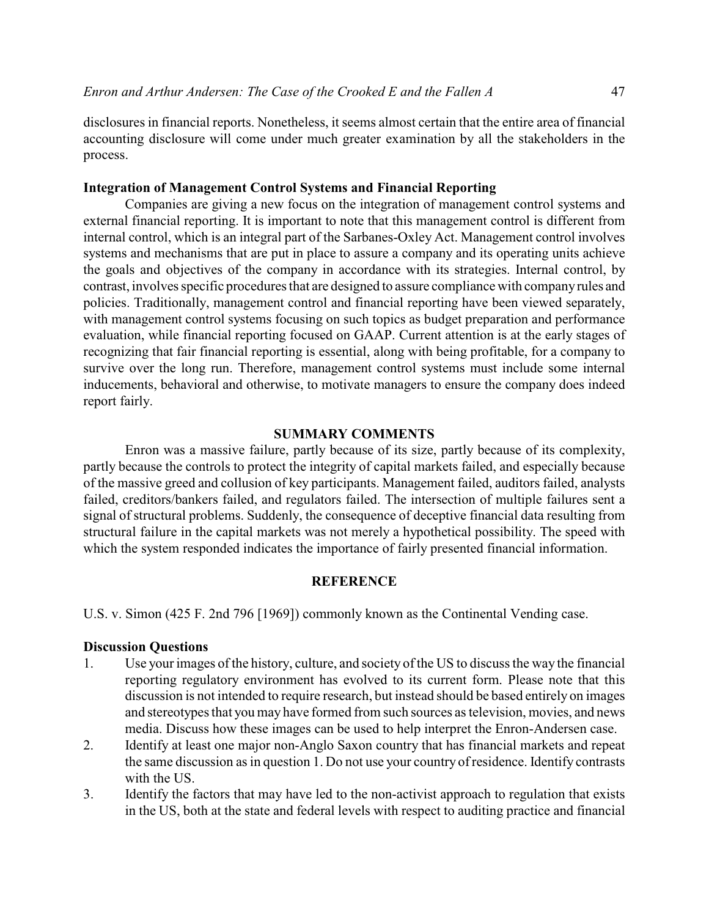disclosures in financial reports. Nonetheless, it seems almost certain that the entire area of financial accounting disclosure will come under much greater examination by all the stakeholders in the process.

#### **Integration of Management Control Systems and Financial Reporting**

Companies are giving a new focus on the integration of management control systems and external financial reporting. It is important to note that this management control is different from internal control, which is an integral part of the Sarbanes-Oxley Act. Management control involves systems and mechanisms that are put in place to assure a company and its operating units achieve the goals and objectives of the company in accordance with its strategies. Internal control, by contrast, involves specific procedures that are designed to assure compliance with company rules and policies. Traditionally, management control and financial reporting have been viewed separately, with management control systems focusing on such topics as budget preparation and performance evaluation, while financial reporting focused on GAAP. Current attention is at the early stages of recognizing that fair financial reporting is essential, along with being profitable, for a company to survive over the long run. Therefore, management control systems must include some internal inducements, behavioral and otherwise, to motivate managers to ensure the company does indeed report fairly.

#### **SUMMARY COMMENTS**

Enron was a massive failure, partly because of its size, partly because of its complexity, partly because the controls to protect the integrity of capital markets failed, and especially because of the massive greed and collusion of key participants. Management failed, auditors failed, analysts failed, creditors/bankers failed, and regulators failed. The intersection of multiple failures sent a signal of structural problems. Suddenly, the consequence of deceptive financial data resulting from structural failure in the capital markets was not merely a hypothetical possibility. The speed with which the system responded indicates the importance of fairly presented financial information.

#### **REFERENCE**

U.S. v. Simon (425 F. 2nd 796 [1969]) commonly known as the Continental Vending case.

#### **Discussion Questions**

- 1. Use your images of the history, culture, and society of the US to discuss the way the financial reporting regulatory environment has evolved to its current form. Please note that this discussion is not intended to require research, but instead should be based entirely on images and stereotypes that you may have formed from such sources as television, movies, and news media. Discuss how these images can be used to help interpret the Enron-Andersen case.
- 2. Identify at least one major non-Anglo Saxon country that has financial markets and repeat the same discussion as in question 1. Do not use your country ofresidence. Identify contrasts with the US.
- 3. Identify the factors that may have led to the non-activist approach to regulation that exists in the US, both at the state and federal levels with respect to auditing practice and financial